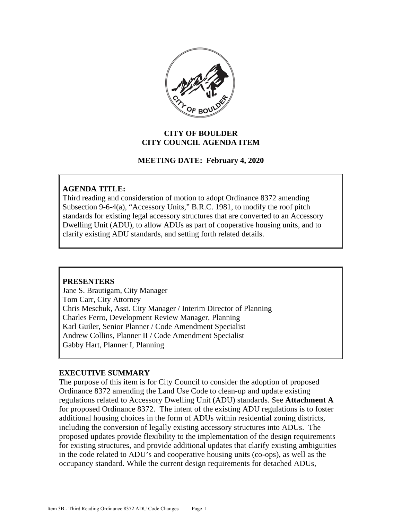

### **CITY OF BOULDER CITY COUNCIL AGENDA ITEM**

### **MEETING DATE: February 4, 2020**

#### **AGENDA TITLE:**

Third reading and consideration of motion to adopt Ordinance 8372 amending Subsection 9-6-4(a), "Accessory Units," B.R.C. 1981, to modify the roof pitch standards for existing legal accessory structures that are converted to an Accessory Dwelling Unit (ADU), to allow ADUs as part of cooperative housing units, and to clarify existing ADU standards, and setting forth related details.

#### **PRESENTERS**

Jane S. Brautigam, City Manager Tom Carr, City Attorney Chris Meschuk, Asst. City Manager / Interim Director of Planning Charles Ferro, Development Review Manager, Planning Karl Guiler, Senior Planner / Code Amendment Specialist Andrew Collins, Planner II / Code Amendment Specialist Gabby Hart, Planner I, Planning

#### **EXECUTIVE SUMMARY**

The purpose of this item is for City Council to consider the adoption of proposed Ordinance 8372 amending the Land Use Code to clean-up and update existing regulations related to Accessory Dwelling Unit (ADU) standards. See **Attachment A** for proposed Ordinance 8372. The intent of the existing ADU regulations is to foster additional housing choices in the form of ADUs within residential zoning districts, including the conversion of legally existing accessory structures into ADUs. The proposed updates provide flexibility to the implementation of the design requirements for existing structures, and provide additional updates that clarify existing ambiguities in the code related to ADU's and cooperative housing units (co-ops), as well as the occupancy standard. While the current design requirements for detached ADUs,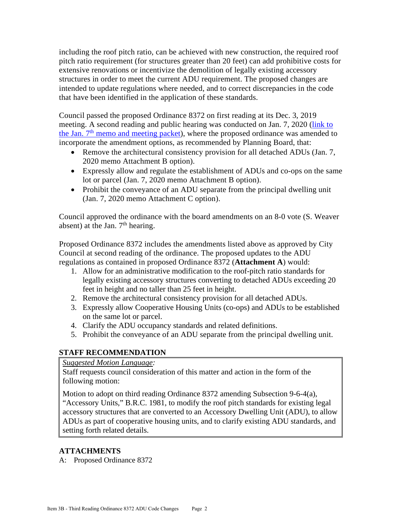including the roof pitch ratio, can be achieved with new construction, the required roof pitch ratio requirement (for structures greater than 20 feet) can add prohibitive costs for extensive renovations or incentivize the demolition of legally existing accessory structures in order to meet the current ADU requirement. The proposed changes are intended to update regulations where needed, and to correct discrepancies in the code that have been identified in the application of these standards.

Council passed the proposed Ordinance 8372 on first reading at its Dec. 3, 2019 meeting. A second reading and public hearing was conducted on Jan. 7, 2020 [\(link to](https://boulder.novusagenda.com/agendapublic/CoverSheet.aspx?ItemID=2493&MeetingID=566)  the Jan.  $7<sup>th</sup>$  [memo and meeting packet\)](https://boulder.novusagenda.com/agendapublic/CoverSheet.aspx?ItemID=2493&MeetingID=566), where the proposed ordinance was amended to incorporate the amendment options, as recommended by Planning Board, that:

- Remove the architectural consistency provision for all detached ADUs (Jan. 7, 2020 memo Attachment B option).
- Expressly allow and regulate the establishment of ADUs and co-ops on the same lot or parcel (Jan. 7, 2020 memo Attachment B option).
- Prohibit the conveyance of an ADU separate from the principal dwelling unit (Jan. 7, 2020 memo Attachment C option).

Council approved the ordinance with the board amendments on an 8-0 vote (S. Weaver absent) at the Jan.  $7<sup>th</sup>$  hearing.

Proposed Ordinance 8372 includes the amendments listed above as approved by City Council at second reading of the ordinance. The proposed updates to the ADU regulations as contained in proposed Ordinance 8372 (**Attachment A**) would:

- 1. Allow for an administrative modification to the roof-pitch ratio standards for legally existing accessory structures converting to detached ADUs exceeding 20 feet in height and no taller than 25 feet in height.
- 2. Remove the architectural consistency provision for all detached ADUs.
- 3. Expressly allow Cooperative Housing Units (co-ops) and ADUs to be established on the same lot or parcel.
- 4. Clarify the ADU occupancy standards and related definitions.
- 5. Prohibit the conveyance of an ADU separate from the principal dwelling unit.

# **STAFF RECOMMENDATION**

*Suggested Motion Language:* 

Staff requests council consideration of this matter and action in the form of the following motion:

Motion to adopt on third reading Ordinance 8372 amending Subsection 9-6-4(a), "Accessory Units," B.R.C. 1981, to modify the roof pitch standards for existing legal accessory structures that are converted to an Accessory Dwelling Unit (ADU), to allow ADUs as part of cooperative housing units, and to clarify existing ADU standards, and setting forth related details.

# **ATTACHMENTS**

A: Proposed Ordinance 8372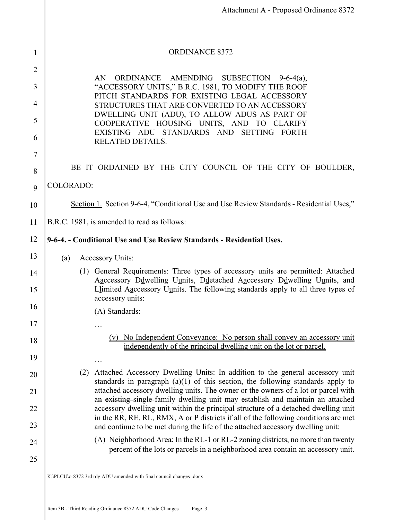|                | Attachment A - Proposed Ordinance 8372                                                                                                                                                                                                                       |  |  |  |
|----------------|--------------------------------------------------------------------------------------------------------------------------------------------------------------------------------------------------------------------------------------------------------------|--|--|--|
|                |                                                                                                                                                                                                                                                              |  |  |  |
| 1              | <b>ORDINANCE 8372</b>                                                                                                                                                                                                                                        |  |  |  |
| $\overline{2}$ |                                                                                                                                                                                                                                                              |  |  |  |
| 3              | AMENDING<br>AN<br>ORDINANCE<br>SUBSECTION $9-6-4(a)$ ,<br>"ACCESSORY UNITS," B.R.C. 1981, TO MODIFY THE ROOF                                                                                                                                                 |  |  |  |
| 4              | PITCH STANDARDS FOR EXISTING LEGAL ACCESSORY                                                                                                                                                                                                                 |  |  |  |
| 5              | STRUCTURES THAT ARE CONVERTED TO AN ACCESSORY<br>DWELLING UNIT (ADU), TO ALLOW ADUS AS PART OF                                                                                                                                                               |  |  |  |
| 6              | COOPERATIVE HOUSING UNITS, AND TO CLARIFY<br>EXISTING ADU STANDARDS AND SETTING FORTH                                                                                                                                                                        |  |  |  |
| 7              | <b>RELATED DETAILS.</b>                                                                                                                                                                                                                                      |  |  |  |
| 8              | BE IT ORDAINED BY THE CITY COUNCIL OF THE CITY OF BOULDER,                                                                                                                                                                                                   |  |  |  |
| 9              | <b>COLORADO:</b>                                                                                                                                                                                                                                             |  |  |  |
| 10             | Section 1. Section 9-6-4, "Conditional Use and Use Review Standards - Residential Uses,"                                                                                                                                                                     |  |  |  |
| 11             | B.R.C. 1981, is amended to read as follows:                                                                                                                                                                                                                  |  |  |  |
| 12             | 9-6-4. - Conditional Use and Use Review Standards - Residential Uses.                                                                                                                                                                                        |  |  |  |
| 13             | <b>Accessory Units:</b><br>(a)                                                                                                                                                                                                                               |  |  |  |
| 14             | (1) General Requirements: Three types of accessory units are permitted: Attached<br>Aaccessory Ddwelling Uunits, Ddetached Aaccessory Ddwelling Uunits, and                                                                                                  |  |  |  |
| 15             | Llimited Aaccessory Uunits. The following standards apply to all three types of<br>accessory units:                                                                                                                                                          |  |  |  |
| 16             | (A) Standards:                                                                                                                                                                                                                                               |  |  |  |
| 17             |                                                                                                                                                                                                                                                              |  |  |  |
| 18             | (v) No Independent Conveyance: No person shall convey an accessory unit<br>independently of the principal dwelling unit on the lot or parcel.                                                                                                                |  |  |  |
| 19             |                                                                                                                                                                                                                                                              |  |  |  |
| 20             | Attached Accessory Dwelling Units: In addition to the general accessory unit<br>(2)<br>standards in paragraph $(a)(1)$ of this section, the following standards apply to                                                                                     |  |  |  |
| 21             | attached accessory dwelling units. The owner or the owners of a lot or parcel with<br>an existing single-family dwelling unit may establish and maintain an attached                                                                                         |  |  |  |
| 22<br>23       | accessory dwelling unit within the principal structure of a detached dwelling unit<br>in the RR, RE, RL, RMX, A or P districts if all of the following conditions are met<br>and continue to be met during the life of the attached accessory dwelling unit: |  |  |  |
| 24             | (A) Neighborhood Area: In the RL-1 or RL-2 zoning districts, no more than twenty<br>percent of the lots or parcels in a neighborhood area contain an accessory unit.                                                                                         |  |  |  |
| 25             |                                                                                                                                                                                                                                                              |  |  |  |
|                | K:\PLCU\o-8372 3rd rdg ADU amended with final council changes-.docx                                                                                                                                                                                          |  |  |  |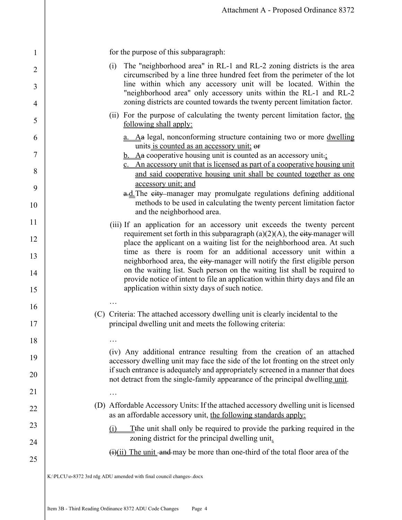for the purpose of this subparagraph:

1

2

3

4

5

6

7

8

9

10

11

12

13

14

15

16

17

18

19

20

21

22

23

24

25

- (i) The "neighborhood area" in RL-1 and RL-2 zoning districts is the area circumscribed by a line three hundred feet from the perimeter of the lot line within which any accessory unit will be located. Within the "neighborhood area" only accessory units within the RL-1 and RL-2 zoning districts are counted towards the twenty percent limitation factor.
- (ii) For the purpose of calculating the twenty percent limitation factor, the following shall apply:
	- a. Aa legal, nonconforming structure containing two or more dwelling units is counted as an accessory unit; or
	- $b.$  A<sub>a</sub> cooperative housing unit is counted as an accessory unit.;
	- c. An accessory unit that is licensed as part of a cooperative housing unit and said cooperative housing unit shall be counted together as one accessory unit; and
	- a.d. The city manager may promulgate regulations defining additional methods to be used in calculating the twenty percent limitation factor and the neighborhood area.
- (iii) If an application for an accessory unit exceeds the twenty percent requirement set forth in this subparagraph  $(a)(2)(A)$ , the eity manager will place the applicant on a waiting list for the neighborhood area. At such time as there is room for an additional accessory unit within a neighborhood area, the eity-manager will notify the first eligible person on the waiting list. Such person on the waiting list shall be required to provide notice of intent to file an application within thirty days and file an application within sixty days of such notice.
- (C) Criteria: The attached accessory dwelling unit is clearly incidental to the principal dwelling unit and meets the following criteria:

(iv) Any additional entrance resulting from the creation of an attached accessory dwelling unit may face the side of the lot fronting on the street only if such entrance is adequately and appropriately screened in a manner that does not detract from the single-family appearance of the principal dwelling unit.

(D) Affordable Accessory Units: If the attached accessory dwelling unit is licensed as an affordable accessory unit, the following standards apply:

(i) Tthe unit shall only be required to provide the parking required in the zoning district for the principal dwelling unit.

 $(ii)(ii)$  The unit -and-may be more than one-third of the total floor area of the

…

…

…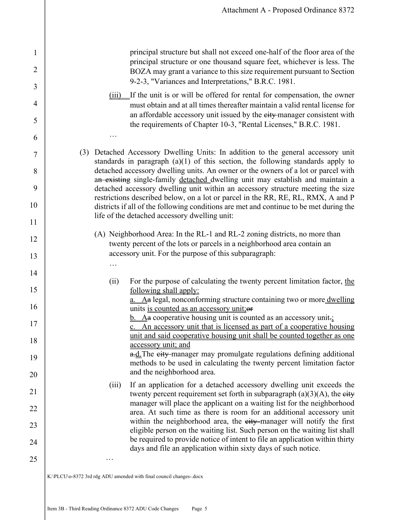principal structure but shall not exceed one-half of the floor area of the principal structure or one thousand square feet, whichever is less. The BOZA may grant a variance to this size requirement pursuant to Section 9-2-3, "Variances and Interpretations," B.R.C. 1981.

- (iii) If the unit is or will be offered for rental for compensation, the owner must obtain and at all times thereafter maintain a valid rental license for an affordable accessory unit issued by the eity-manager consistent with the requirements of Chapter 10-3, "Rental Licenses," B.R.C. 1981.
- (3) Detached Accessory Dwelling Units: In addition to the general accessory unit standards in paragraph (a)(1) of this section, the following standards apply to detached accessory dwelling units. An owner or the owners of a lot or parcel with an existing single-family detached dwelling unit may establish and maintain a detached accessory dwelling unit within an accessory structure meeting the size restrictions described below, on a lot or parcel in the RR, RE, RL, RMX, A and P districts if all of the following conditions are met and continue to be met during the life of the detached accessory dwelling unit:
	- (A) Neighborhood Area: In the RL-1 and RL-2 zoning districts, no more than twenty percent of the lots or parcels in a neighborhood area contain an accessory unit. For the purpose of this subparagraph:
		- (ii) For the purpose of calculating the twenty percent limitation factor, the following shall apply: a. Aa legal, nonconforming structure containing two or more dwelling
			- units is counted as an accessory unit; or  $b.$  Aa cooperative housing unit is counted as an accessory unit.; c. An accessory unit that is licensed as part of a cooperative housing

unit and said cooperative housing unit shall be counted together as one accessory unit; and

a.d. The eity-manager may promulgate regulations defining additional methods to be used in calculating the twenty percent limitation factor and the neighborhood area.

(iii) If an application for a detached accessory dwelling unit exceeds the twenty percent requirement set forth in subparagraph  $(a)(3)(A)$ , the eity manager will place the applicant on a waiting list for the neighborhood area. At such time as there is room for an additional accessory unit within the neighborhood area, the eity manager will notify the first eligible person on the waiting list. Such person on the waiting list shall be required to provide notice of intent to file an application within thirty days and file an application within sixty days of such notice.

K:\PLCU\o-8372 3rd rdg ADU amended with final council changes-.docx

…

1

2

3

4

5

6

…

…

7

8

9

10

11

12

13

14

15

16

17

18

19

20

21

22

23

24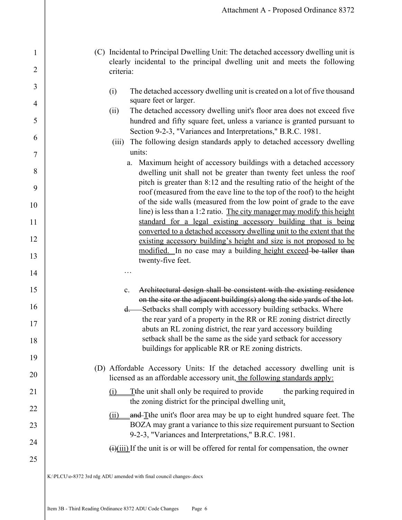- (C) Incidental to Principal Dwelling Unit: The detached accessory dwelling unit is clearly incidental to the principal dwelling unit and meets the following criteria:
	- (i) The detached accessory dwelling unit is created on a lot of five thousand square feet or larger.
	- (ii) The detached accessory dwelling unit's floor area does not exceed five hundred and fifty square feet, unless a variance is granted pursuant to Section 9-2-3, "Variances and Interpretations," B.R.C. 1981.
	- (iii) The following design standards apply to detached accessory dwelling units:
		- a. Maximum height of accessory buildings with a detached accessory dwelling unit shall not be greater than twenty feet unless the roof pitch is greater than 8:12 and the resulting ratio of the height of the roof (measured from the eave line to the top of the roof) to the height of the side walls (measured from the low point of grade to the eave line) is less than a 1:2 ratio. The city manager may modify this height standard for a legal existing accessory building that is being converted to a detached accessory dwelling unit to the extent that the existing accessory building's height and size is not proposed to be modified. In no case may a building height exceed be taller than twenty-five feet.
		- c. Architectural design shall be consistent with the existing residence on the site or the adjacent building(s) along the side yards of the lot.
		- d. Setbacks shall comply with accessory building setbacks. Where the rear yard of a property in the RR or RE zoning district directly abuts an RL zoning district, the rear yard accessory building setback shall be the same as the side yard setback for accessory buildings for applicable RR or RE zoning districts.
- (D) Affordable Accessory Units: If the detached accessory dwelling unit is licensed as an affordable accessory unit, the following standards apply:
	- $(i)$  Tthe unit shall only be required to provide the parking required in the zoning district for the principal dwelling unit.
	- $(ii)$  and T<sup>the unit's floor area may be up to eight hundred square feet. The</sup> BOZA may grant a variance to this size requirement pursuant to Section 9-2-3, "Variances and Interpretations," B.R.C. 1981.
		- $\frac{f(x)}{f(x)}$  If the unit is or will be offered for rental for compensation, the owner

K:\PLCU\o-8372 3rd rdg ADU amended with final council changes-.docx

…

1

2

3

4

5

6

7

8

9

10

11

12

13

14

15

16

17

18

19

20

21

22

23

24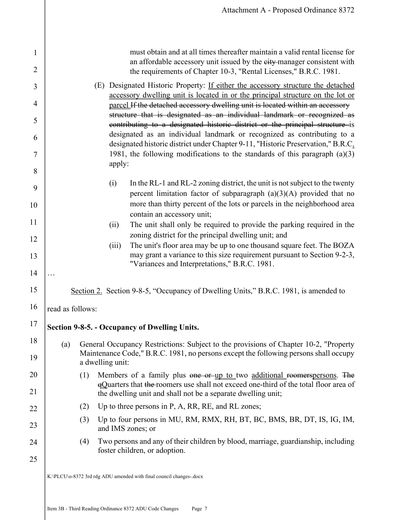|                  | must obtain and at all times thereafter maintain a valid rental license for<br>an affordable accessory unit issued by the eity-manager consistent with<br>the requirements of Chapter 10-3, "Rental Licenses," B.R.C. 1981.                                                                                                                                                                                                                                                                                                                                                                                                                                              |  |  |
|------------------|--------------------------------------------------------------------------------------------------------------------------------------------------------------------------------------------------------------------------------------------------------------------------------------------------------------------------------------------------------------------------------------------------------------------------------------------------------------------------------------------------------------------------------------------------------------------------------------------------------------------------------------------------------------------------|--|--|
|                  | (E) Designated Historic Property: If either the accessory structure the detached<br>accessory dwelling unit is located in or the principal structure on the lot or<br>parcel If the detached accessory dwelling unit is located within an accessory<br>structure that is designated as an individual landmark or recognized as<br>contributing to a designated historic district or the principal structure is<br>designated as an individual landmark or recognized as contributing to a<br>designated historic district under Chapter 9-11, "Historic Preservation," B.R.C.<br>1981, the following modifications to the standards of this paragraph $(a)(3)$<br>apply: |  |  |
|                  | (i)<br>In the RL-1 and RL-2 zoning district, the unit is not subject to the twenty<br>percent limitation factor of subparagraph $(a)(3)(A)$ provided that no<br>more than thirty percent of the lots or parcels in the neighborhood area<br>contain an accessory unit;                                                                                                                                                                                                                                                                                                                                                                                                   |  |  |
|                  | The unit shall only be required to provide the parking required in the<br>(ii)                                                                                                                                                                                                                                                                                                                                                                                                                                                                                                                                                                                           |  |  |
|                  | zoning district for the principal dwelling unit; and                                                                                                                                                                                                                                                                                                                                                                                                                                                                                                                                                                                                                     |  |  |
|                  | The unit's floor area may be up to one thousand square feet. The BOZA<br>(iii)<br>may grant a variance to this size requirement pursuant to Section 9-2-3,<br>"Variances and Interpretations," B.R.C. 1981.                                                                                                                                                                                                                                                                                                                                                                                                                                                              |  |  |
|                  |                                                                                                                                                                                                                                                                                                                                                                                                                                                                                                                                                                                                                                                                          |  |  |
|                  | Section 2. Section 9-8-5, "Occupancy of Dwelling Units," B.R.C. 1981, is amended to                                                                                                                                                                                                                                                                                                                                                                                                                                                                                                                                                                                      |  |  |
| read as follows: |                                                                                                                                                                                                                                                                                                                                                                                                                                                                                                                                                                                                                                                                          |  |  |
|                  | Section 9-8-5. - Occupancy of Dwelling Units.                                                                                                                                                                                                                                                                                                                                                                                                                                                                                                                                                                                                                            |  |  |
| (a)              | General Occupancy Restrictions: Subject to the provisions of Chapter 10-2, "Property<br>Maintenance Code," B.R.C. 1981, no persons except the following persons shall occupy<br>a dwelling unit:                                                                                                                                                                                                                                                                                                                                                                                                                                                                         |  |  |
| (1)              | Members of a family plus one or up to two additional roomerspersons. The<br>eQuarters that the roomers use shall not exceed one-third of the total floor area of<br>the dwelling unit and shall not be a separate dwelling unit;                                                                                                                                                                                                                                                                                                                                                                                                                                         |  |  |
| (2)              | Up to three persons in P, A, RR, RE, and RL zones;                                                                                                                                                                                                                                                                                                                                                                                                                                                                                                                                                                                                                       |  |  |
| (3)              | Up to four persons in MU, RM, RMX, RH, BT, BC, BMS, BR, DT, IS, IG, IM,<br>and IMS zones; or                                                                                                                                                                                                                                                                                                                                                                                                                                                                                                                                                                             |  |  |
| (4)              | Two persons and any of their children by blood, marriage, guardianship, including<br>foster children, or adoption.                                                                                                                                                                                                                                                                                                                                                                                                                                                                                                                                                       |  |  |
|                  |                                                                                                                                                                                                                                                                                                                                                                                                                                                                                                                                                                                                                                                                          |  |  |
|                  | K:\PLCU\o-8372 3rd rdg ADU amended with final council changes-.docx                                                                                                                                                                                                                                                                                                                                                                                                                                                                                                                                                                                                      |  |  |

1

2

3

4

5

6

7

8

9

10

11

12

13

14

15

16

17

18

19

20

21

22

23

24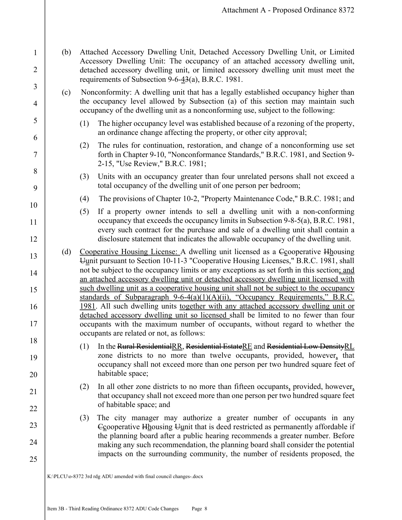(b) Attached Accessory Dwelling Unit, Detached Accessory Dwelling Unit, or Limited Accessory Dwelling Unit: The occupancy of an attached accessory dwelling unit, detached accessory dwelling unit, or limited accessory dwelling unit must meet the requirements of Subsection  $9-6-4/3$ (a), B.R.C. 1981.

1

2

3

4

5

6

7

8

9

10

11

12

13

14

15

16

17

18

19

20

21

22

23

24

- (c) Nonconformity: A dwelling unit that has a legally established occupancy higher than the occupancy level allowed by Subsection (a) of this section may maintain such occupancy of the dwelling unit as a nonconforming use, subject to the following:
	- (1) The higher occupancy level was established because of a rezoning of the property, an ordinance change affecting the property, or other city approval;
	- (2) The rules for continuation, restoration, and change of a nonconforming use set forth in Chapter 9-10, "Nonconformance Standards," B.R.C. 1981, and Section 9- 2-15, "Use Review," B.R.C. 1981;
	- (3) Units with an occupancy greater than four unrelated persons shall not exceed a total occupancy of the dwelling unit of one person per bedroom;
	- (4) The provisions of Chapter 10-2, "Property Maintenance Code," B.R.C. 1981; and
	- (5) If a property owner intends to sell a dwelling unit with a non-conforming occupancy that exceeds the occupancy limits in Subsection 9-8-5(a), B.R.C. 1981, every such contract for the purchase and sale of a dwelling unit shall contain a disclosure statement that indicates the allowable occupancy of the dwelling unit.
- (d) Cooperative Housing License: A dwelling unit licensed as a Ccooperative Hhousing Uunit pursuant to Section 10-11-3 "Cooperative Housing Licenses," B.R.C. 1981, shall not be subject to the occupancy limits or any exceptions as set forth in this section; and an attached accessory dwelling unit or detached accessory dwelling unit licensed with such dwelling unit as a cooperative housing unit shall not be subject to the occupancy standards of Subparagraph  $9-6-4(a)(1)(A)(ii)$ , "Occupancy Requirements," B.R.C. 1981. All such dwelling units together with any attached accessory dwelling unit or detached accessory dwelling unit so licensed shall be limited to no fewer than four occupants with the maximum number of occupants, without regard to whether the occupants are related or not, as follows:
	- (1) In the Rural ResidentialRR, Residential EstateRE and Residential Low DensityRL zone districts to no more than twelve occupants, provided, however, that occupancy shall not exceed more than one person per two hundred square feet of habitable space;
		- (2) In all other zone districts to no more than fifteen occupants, provided, however, that occupancy shall not exceed more than one person per two hundred square feet of habitable space; and
		- (3) The city manager may authorize a greater number of occupants in any Ccooperative Hhousing Uunit that is deed restricted as permanently affordable if the planning board after a public hearing recommends a greater number. Before making any such recommendation, the planning board shall consider the potential impacts on the surrounding community, the number of residents proposed, the
- K:\PLCU\o-8372 3rd rdg ADU amended with final council changes-.docx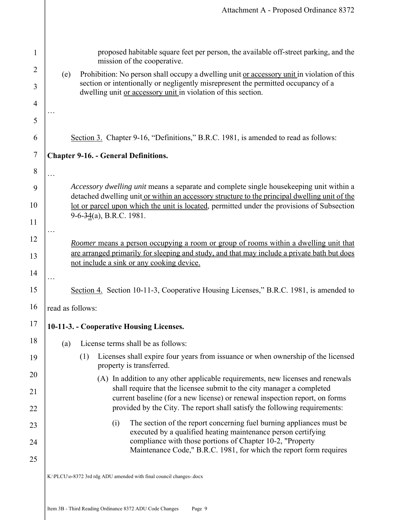|                     | Attachment A - Proposed Ordinance 8372                                                                                                                                                      |  |  |
|---------------------|---------------------------------------------------------------------------------------------------------------------------------------------------------------------------------------------|--|--|
|                     |                                                                                                                                                                                             |  |  |
| $\mathbf{1}$        | proposed habitable square feet per person, the available off-street parking, and the<br>mission of the cooperative.                                                                         |  |  |
| $\overline{2}$      | Prohibition: No person shall occupy a dwelling unit or accessory unit in violation of this<br>(e)<br>section or intentionally or negligently misrepresent the permitted occupancy of a      |  |  |
| 3                   | dwelling unit or accessory unit in violation of this section.                                                                                                                               |  |  |
| $\overline{4}$<br>5 |                                                                                                                                                                                             |  |  |
| 6                   | Section 3. Chapter 9-16, "Definitions," B.R.C. 1981, is amended to read as follows:                                                                                                         |  |  |
| $\overline{7}$      | <b>Chapter 9-16. - General Definitions.</b>                                                                                                                                                 |  |  |
| 8                   | $\ddots$                                                                                                                                                                                    |  |  |
| 9                   | Accessory dwelling unit means a separate and complete single housekeeping unit within a                                                                                                     |  |  |
| 10                  | detached dwelling unit or within an accessory structure to the principal dwelling unit of the<br>lot or parcel upon which the unit is located, permitted under the provisions of Subsection |  |  |
| 11                  | $9-6-34(a)$ , B.R.C. 1981.                                                                                                                                                                  |  |  |
| 12                  | Roomer means a person occupying a room or group of rooms within a dwelling unit that                                                                                                        |  |  |
| 13                  | are arranged primarily for sleeping and study, and that may include a private bath but does<br>not include a sink or any cooking device.                                                    |  |  |
| 14                  |                                                                                                                                                                                             |  |  |
| 15                  | Section 4. Section 10-11-3, Cooperative Housing Licenses," B.R.C. 1981, is amended to                                                                                                       |  |  |
| 16                  | read as follows:                                                                                                                                                                            |  |  |
| 17                  | 10-11-3. - Cooperative Housing Licenses.                                                                                                                                                    |  |  |
| 18                  | License terms shall be as follows:<br>(a)                                                                                                                                                   |  |  |
| 19                  | Licenses shall expire four years from issuance or when ownership of the licensed<br>(1)<br>property is transferred.                                                                         |  |  |
| 20                  | (A) In addition to any other applicable requirements, new licenses and renewals<br>shall require that the licensee submit to the city manager a completed                                   |  |  |
| 21<br>22            | current baseline (for a new license) or renewal inspection report, on forms<br>provided by the City. The report shall satisfy the following requirements:                                   |  |  |
|                     | The section of the report concerning fuel burning appliances must be<br>(i)                                                                                                                 |  |  |
| 23<br>24            | executed by a qualified heating maintenance person certifying<br>compliance with those portions of Chapter 10-2, "Property                                                                  |  |  |
| 25                  | Maintenance Code," B.R.C. 1981, for which the report form requires                                                                                                                          |  |  |
|                     | K:\PLCU\o-8372 3rd rdg ADU amended with final council changes-.docx                                                                                                                         |  |  |
|                     |                                                                                                                                                                                             |  |  |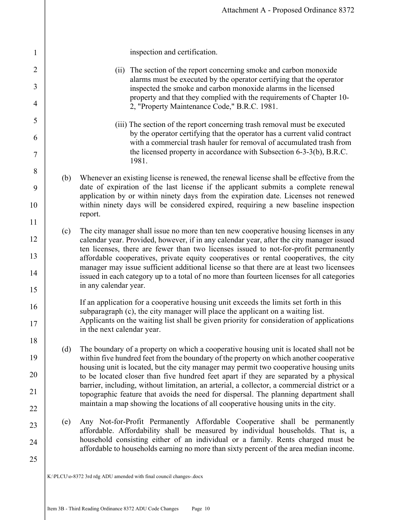|     | Attachment A - Proposed Ordinance 8372                                                                                                                                                                                                                                                                                                                                                                                                                                                                                                                                                                                                              |
|-----|-----------------------------------------------------------------------------------------------------------------------------------------------------------------------------------------------------------------------------------------------------------------------------------------------------------------------------------------------------------------------------------------------------------------------------------------------------------------------------------------------------------------------------------------------------------------------------------------------------------------------------------------------------|
|     | inspection and certification.                                                                                                                                                                                                                                                                                                                                                                                                                                                                                                                                                                                                                       |
|     | (ii) The section of the report concerning smoke and carbon monoxide<br>alarms must be executed by the operator certifying that the operator<br>inspected the smoke and carbon monoxide alarms in the licensed<br>property and that they complied with the requirements of Chapter 10-<br>2, "Property Maintenance Code," B.R.C. 1981.                                                                                                                                                                                                                                                                                                               |
|     | (iii) The section of the report concerning trash removal must be executed<br>by the operator certifying that the operator has a current valid contract<br>with a commercial trash hauler for removal of accumulated trash from<br>the licensed property in accordance with Subsection 6-3-3(b), B.R.C.<br>1981.                                                                                                                                                                                                                                                                                                                                     |
| (b) | Whenever an existing license is renewed, the renewal license shall be effective from the<br>date of expiration of the last license if the applicant submits a complete renewal<br>application by or within ninety days from the expiration date. Licenses not renewed<br>within ninety days will be considered expired, requiring a new baseline inspection<br>report.                                                                                                                                                                                                                                                                              |
| (c) | The city manager shall issue no more than ten new cooperative housing licenses in any<br>calendar year. Provided, however, if in any calendar year, after the city manager issued<br>ten licenses, there are fewer than two licenses issued to not-for-profit permanently<br>affordable cooperatives, private equity cooperatives or rental cooperatives, the city<br>manager may issue sufficient additional license so that there are at least two licensees<br>issued in each category up to a total of no more than fourteen licenses for all categories<br>in any calendar year.                                                               |
|     | If an application for a cooperative housing unit exceeds the limits set forth in this<br>subparagraph (c), the city manager will place the applicant on a waiting list.<br>Applicants on the waiting list shall be given priority for consideration of applications<br>in the next calendar year.                                                                                                                                                                                                                                                                                                                                                   |
| (d) | The boundary of a property on which a cooperative housing unit is located shall not be<br>within five hundred feet from the boundary of the property on which another cooperative<br>housing unit is located, but the city manager may permit two cooperative housing units<br>to be located closer than five hundred feet apart if they are separated by a physical<br>barrier, including, without limitation, an arterial, a collector, a commercial district or a<br>topographic feature that avoids the need for dispersal. The planning department shall<br>maintain a map showing the locations of all cooperative housing units in the city. |
| (e) | Any Not-for-Profit Permanently Affordable Cooperative shall be permanently<br>affordable. Affordability shall be measured by individual households. That is, a<br>household consisting either of an individual or a family. Rents charged must be<br>affordable to households earning no more than sixty percent of the area median income.                                                                                                                                                                                                                                                                                                         |

1

2

3

4

5

6

7

8

9

10

11

12

13

14

15

16

17

18

19

20

21

22

23

24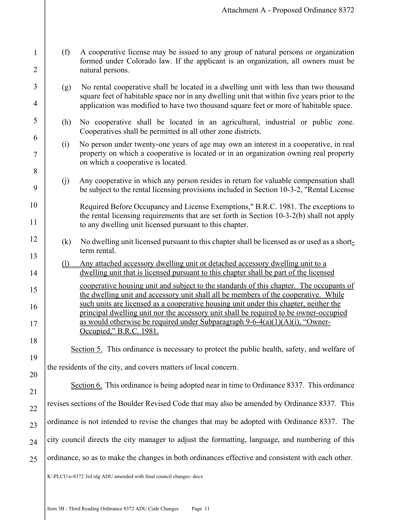- (f) A cooperative license may be issued to any group of natural persons or organization formed under Colorado law. If the applicant is an organization, all owners must be natural persons.
- (g) No rental cooperative shall be located in a dwelling unit with less than two thousand square feet of habitable space nor in any dwelling unit that within five years prior to the application was modified to have two thousand square feet or more of habitable space.
- (h) No cooperative shall be located in an agricultural, industrial or public zone. Cooperatives shall be permitted in all other zone districts.
- (i) No person under twenty-one years of age may own an interest in a cooperative, in real property on which a cooperative is located or in an organization owning real property on which a cooperative is located.
- (j) Any cooperative in which any person resides in return for valuable compensation shall be subject to the rental licensing provisions included in Section 10-3-2, "Rental License
- Required Before Occupancy and License Exemptions," B.R.C. 1981. The exceptions to the rental licensing requirements that are set forth in Section 10-3-2(b) shall not apply to any dwelling unit licensed pursuant to this chapter.
	- (k) No dwelling unit licensed pursuant to this chapter shall be licensed as or used as a shortterm rental.
	- (l) Any attached accessory dwelling unit or detached accessory dwelling unit to a dwelling unit that is licensed pursuant to this chapter shall be part of the licensed cooperative housing unit and subject to the standards of this chapter. The occupants of the dwelling unit and accessory unit shall all be members of the cooperative. While such units are licensed as a cooperative housing unit under this chapter, neither the principal dwelling unit nor the accessory unit shall be required to be owner-occupied
	- as would otherwise be required under Subparagraph  $9-6-4(a)(1)(A)(i)$ , "Owner-Occupied," B.R.C. 1981.
		- Section 5. This ordinance is necessary to protect the public health, safety, and welfare of

the residents of the city, and covers matters of local concern.

1

2

3

4

5

6

7

8

9

10

11

12

13

14

15

16

17

18

19

20

21

22

Section 6. This ordinance is being adopted near in time to Ordinance 8337. This ordinance revises sections of the Boulder Revised Code that may also be amended by Ordinance 8337. This

23 ordinance is not intended to revise the changes that may be adopted with Ordinance 8337. The

24 city council directs the city manager to adjust the formatting, language, and numbering of this

25 ordinance, so as to make the changes in both ordinances effective and consistent with each other.

K:\PLCU\o-8372 3rd rdg ADU amended with final council changes-.docx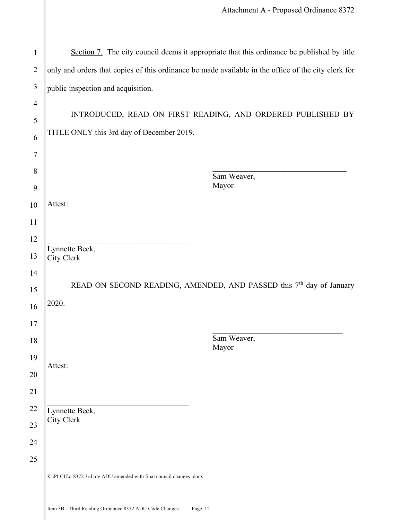| $\mathbf{1}$        |                                                                                                     | Section 7. The city council deems it appropriate that this ordinance be published by title |  |
|---------------------|-----------------------------------------------------------------------------------------------------|--------------------------------------------------------------------------------------------|--|
| $\overline{2}$      | only and orders that copies of this ordinance be made available in the office of the city clerk for |                                                                                            |  |
| 3                   | public inspection and acquisition.                                                                  |                                                                                            |  |
| $\overline{4}$<br>5 | INTRODUCED, READ ON FIRST READING, AND ORDERED PUBLISHED BY                                         |                                                                                            |  |
| 6                   | TITLE ONLY this 3rd day of December 2019.                                                           |                                                                                            |  |
| $\tau$              |                                                                                                     |                                                                                            |  |
| 8                   |                                                                                                     |                                                                                            |  |
| 9                   |                                                                                                     | Sam Weaver,<br>Mayor                                                                       |  |
| 10                  | Attest:                                                                                             |                                                                                            |  |
| 11                  |                                                                                                     |                                                                                            |  |
| 12                  | Lynnette Beck,                                                                                      |                                                                                            |  |
| 13                  | City Clerk                                                                                          |                                                                                            |  |
| 14                  |                                                                                                     |                                                                                            |  |
| 15                  | READ ON SECOND READING, AMENDED, AND PASSED this 7 <sup>th</sup> day of January<br>2020.            |                                                                                            |  |
| 16                  |                                                                                                     |                                                                                            |  |
| 17<br>18            |                                                                                                     | Sam Weaver,                                                                                |  |
| 19                  |                                                                                                     | Mayor                                                                                      |  |
| 20                  | Attest:                                                                                             |                                                                                            |  |
| 21                  |                                                                                                     |                                                                                            |  |
| 22                  | Lynnette Beck,                                                                                      |                                                                                            |  |
| 23                  | City Clerk                                                                                          |                                                                                            |  |
| 24                  |                                                                                                     |                                                                                            |  |
| 25                  |                                                                                                     |                                                                                            |  |
|                     | K:\PLCU\o-8372 3rd rdg ADU amended with final council changes-.docx                                 |                                                                                            |  |
|                     |                                                                                                     |                                                                                            |  |

Item 3B - Third Reading Ordinance 8372 ADU Code Changes Page 12